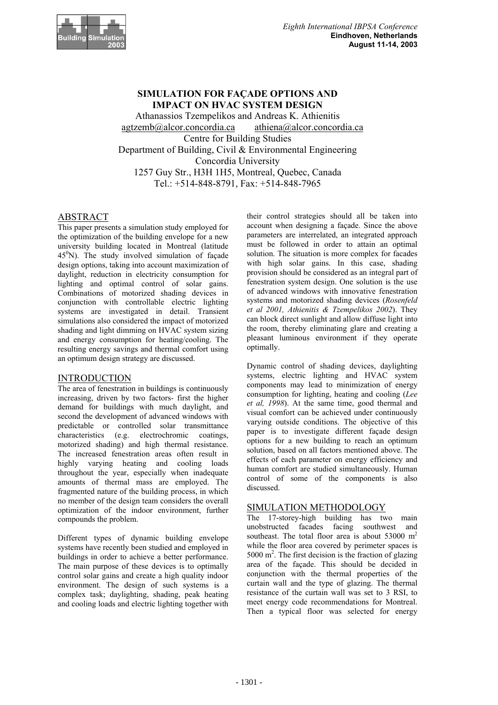

# **SIMULATION FOR FAÇADE OPTIONS AND IMPACT ON HVAC SYSTEM DESIGN**

Athanassios Tzempelikos and Andreas K. Athienitis agtzemb@alcor.concordia.ca athiena@alcor.concordia.ca Centre for Building Studies Department of Building, Civil & Environmental Engineering Concordia University 1257 Guy Str., H3H 1H5, Montreal, Quebec, Canada Tel.: +514-848-8791, Fax: +514-848-7965

## ABSTRACT

This paper presents a simulation study employed for the optimization of the building envelope for a new university building located in Montreal (latitude 45<sup>0</sup> N). The study involved simulation of façade design options, taking into account maximization of daylight, reduction in electricity consumption for lighting and optimal control of solar gains. Combinations of motorized shading devices in conjunction with controllable electric lighting systems are investigated in detail. Transient simulations also considered the impact of motorized shading and light dimming on HVAC system sizing and energy consumption for heating/cooling. The resulting energy savings and thermal comfort using an optimum design strategy are discussed.

## INTRODUCTION

The area of fenestration in buildings is continuously increasing, driven by two factors- first the higher demand for buildings with much daylight, and second the development of advanced windows with predictable or controlled solar transmittance characteristics (e.g. electrochromic coatings, motorized shading) and high thermal resistance. The increased fenestration areas often result in highly varying heating and cooling loads throughout the year, especially when inadequate amounts of thermal mass are employed. The fragmented nature of the building process, in which no member of the design team considers the overall optimization of the indoor environment, further compounds the problem.

Different types of dynamic building envelope systems have recently been studied and employed in buildings in order to achieve a better performance. The main purpose of these devices is to optimally control solar gains and create a high quality indoor environment. The design of such systems is a complex task; daylighting, shading, peak heating and cooling loads and electric lighting together with

their control strategies should all be taken into account when designing a façade. Since the above parameters are interrelated, an integrated approach must be followed in order to attain an optimal solution. The situation is more complex for facades with high solar gains. In this case, shading provision should be considered as an integral part of fenestration system design. One solution is the use of advanced windows with innovative fenestration systems and motorized shading devices (*Rosenfeld et al 2001, Athienitis & Tzempelikos 2002*). They can block direct sunlight and allow diffuse light into the room, thereby eliminating glare and creating a pleasant luminous environment if they operate optimally.

Dynamic control of shading devices, daylighting systems, electric lighting and HVAC system components may lead to minimization of energy consumption for lighting, heating and cooling (*Lee et al, 1998*). At the same time, good thermal and visual comfort can be achieved under continuously varying outside conditions. The objective of this paper is to investigate different façade design options for a new building to reach an optimum solution, based on all factors mentioned above. The effects of each parameter on energy efficiency and human comfort are studied simultaneously. Human control of some of the components is also discussed.

### SIMULATION METHODOLOGY

The 17-storey-high building has two main unobstructed facades facing southwest and southeast. The total floor area is about  $53000 \text{ m}^2$ while the floor area covered by perimeter spaces is  $5000 \text{ m}^2$ . The first decision is the fraction of glazing area of the façade. This should be decided in conjunction with the thermal properties of the curtain wall and the type of glazing. The thermal resistance of the curtain wall was set to 3 RSI, to meet energy code recommendations for Montreal. Then a typical floor was selected for energy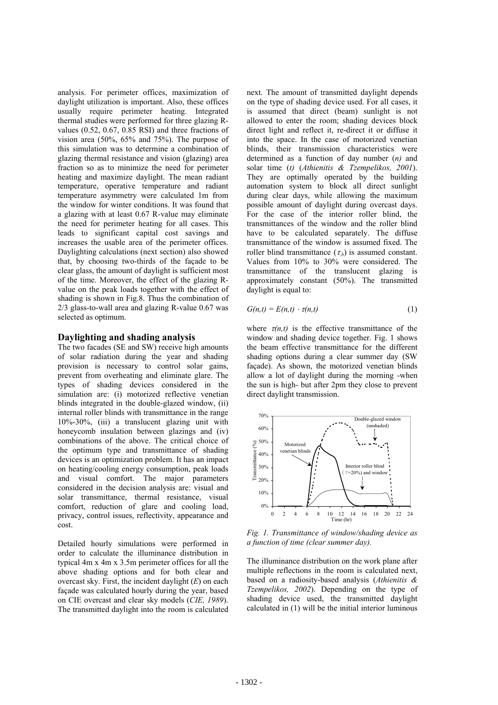analysis. For perimeter offices, maximization of daylight utilization is important. Also, these offices usually require perimeter heating. Integrated thermal studies were performed for three glazing Rvalues (0.52, 0.67, 0.85 RSI) and three fractions of vision area (50%, 65% and 75%). The purpose of this simulation was to determine a combination of glazing thermal resistance and vision (glazing) area fraction so as to minimize the need for perimeter heating and maximize daylight. The mean radiant temperature, operative temperature and radiant temperature asymmetry were calculated 1m from the window for winter conditions. It was found that a glazing with at least 0.67 R-value may eliminate the need for perimeter heating for all cases. This leads to significant capital cost savings and increases the usable area of the perimeter offices. Daylighting calculations (next section) also showed that, by choosing two-thirds of the façade to be clear glass, the amount of daylight is sufficient most of the time. Moreover, the effect of the glazing Rvalue on the peak loads together with the effect of shading is shown in Fig.8. Thus the combination of 2/3 glass-to-wall area and glazing R-value 0.67 was selected as optimum.

### **Daylighting and shading analysis**

The two facades (SE and SW) receive high amounts of solar radiation during the year and shading provision is necessary to control solar gains, prevent from overheating and eliminate glare. The types of shading devices considered in the simulation are: (i) motorized reflective venetian blinds integrated in the double-glazed window, (ii) internal roller blinds with transmittance in the range 10%-30%, (iii) a translucent glazing unit with honeycomb insulation between glazings and (iv) combinations of the above. The critical choice of the optimum type and transmittance of shading devices is an optimization problem. It has an impact on heating/cooling energy consumption, peak loads and visual comfort. The major parameters considered in the decision analysis are: visual and solar transmittance, thermal resistance, visual comfort, reduction of glare and cooling load, privacy, control issues, reflectivity, appearance and cost.

Detailed hourly simulations were performed in order to calculate the illuminance distribution in typical 4m x 4m x 3.5m perimeter offices for all the above shading options and for both clear and overcast sky. First, the incident daylight (*E*) on each façade was calculated hourly during the year, based on CIE overcast and clear sky models (*CIE, 1989*). The transmitted daylight into the room is calculated next. The amount of transmitted daylight depends on the type of shading device used. For all cases, it is assumed that direct (beam) sunlight is not allowed to enter the room; shading devices block direct light and reflect it, re-direct it or diffuse it into the space. In the case of motorized venetian blinds, their transmission characteristics were determined as a function of day number (*n)* and solar time (*t)* (*Athienitis & Tzempelikos, 2001*). They are optimally operated by the building automation system to block all direct sunlight during clear days, while allowing the maximum possible amount of daylight during overcast days. For the case of the interior roller blind, the transmittances of the window and the roller blind have to be calculated separately. The diffuse transmittance of the window is assumed fixed. The roller blind transmittance  $(\tau_b)$  is assumed constant. Values from 10% to 30% were considered. The transmittance of the translucent glazing is approximately constant (50%). The transmitted daylight is equal to:

$$
G(n,t) = E(n,t) \cdot \tau(n,t) \tag{1}
$$

where  $\tau(n,t)$  is the effective transmittance of the window and shading device together. Fig. 1 shows the beam effective transmittance for the different shading options during a clear summer day (SW façade). As shown, the motorized venetian blinds allow a lot of daylight during the morning -when the sun is high- but after 2pm they close to prevent direct daylight transmission.



*Fig. 1. Transmittance of window/shading device as a function of time (clear summer day).* 

The illuminance distribution on the work plane after multiple reflections in the room is calculated next, based on a radiosity-based analysis (*Athienitis & Tzempelikos, 2002*). Depending on the type of shading device used, the transmitted daylight calculated in (1) will be the initial interior luminous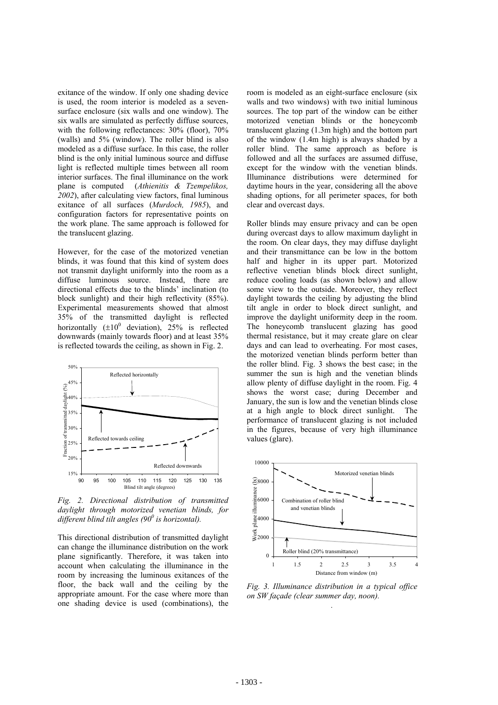exitance of the window. If only one shading device is used, the room interior is modeled as a sevensurface enclosure (six walls and one window). The six walls are simulated as perfectly diffuse sources, with the following reflectances:  $30\%$  (floor),  $70\%$ (walls) and 5% (window). The roller blind is also modeled as a diffuse surface. In this case, the roller blind is the only initial luminous source and diffuse light is reflected multiple times between all room interior surfaces. The final illuminance on the work plane is computed (*Athienitis & Tzempelikos, 2002*), after calculating view factors, final luminous exitance of all surfaces (*Murdoch, 1985*), and configuration factors for representative points on the work plane. The same approach is followed for the translucent glazing.

However, for the case of the motorized venetian blinds, it was found that this kind of system does not transmit daylight uniformly into the room as a diffuse luminous source. Instead, there are directional effects due to the blinds' inclination (to block sunlight) and their high reflectivity (85%). Experimental measurements showed that almost 35% of the transmitted daylight is reflected horizontally  $(\pm 10^0$  deviation), 25% is reflected downwards (mainly towards floor) and at least 35% is reflected towards the ceiling, as shown in Fig. 2.



*Fig. 2. Directional distribution of transmitted daylight through motorized venetian blinds, for*  different blind tilt angles (90<sup>0</sup> is horizontal).

This directional distribution of transmitted daylight can change the illuminance distribution on the work plane significantly. Therefore, it was taken into account when calculating the illuminance in the room by increasing the luminous exitances of the floor, the back wall and the ceiling by the appropriate amount. For the case where more than one shading device is used (combinations), the

room is modeled as an eight-surface enclosure (six walls and two windows) with two initial luminous sources. The top part of the window can be either motorized venetian blinds or the honeycomb translucent glazing (1.3m high) and the bottom part of the window (1.4m high) is always shaded by a roller blind. The same approach as before is followed and all the surfaces are assumed diffuse, except for the window with the venetian blinds. Illuminance distributions were determined for daytime hours in the year, considering all the above shading options, for all perimeter spaces, for both clear and overcast days.

Roller blinds may ensure privacy and can be open during overcast days to allow maximum daylight in the room. On clear days, they may diffuse daylight and their transmittance can be low in the bottom half and higher in its upper part. Motorized reflective venetian blinds block direct sunlight, reduce cooling loads (as shown below) and allow some view to the outside. Moreover, they reflect daylight towards the ceiling by adjusting the blind tilt angle in order to block direct sunlight, and improve the daylight uniformity deep in the room. The honeycomb translucent glazing has good thermal resistance, but it may create glare on clear days and can lead to overheating. For most cases, the motorized venetian blinds perform better than the roller blind. Fig. 3 shows the best case; in the summer the sun is high and the venetian blinds allow plenty of diffuse daylight in the room. Fig. 4 shows the worst case; during December and January, the sun is low and the venetian blinds close at a high angle to block direct sunlight. The performance of translucent glazing is not included in the figures, because of very high illuminance values (glare).



*Fig. 3. Illuminance distribution in a typical office on SW façade (clear summer day, noon). .*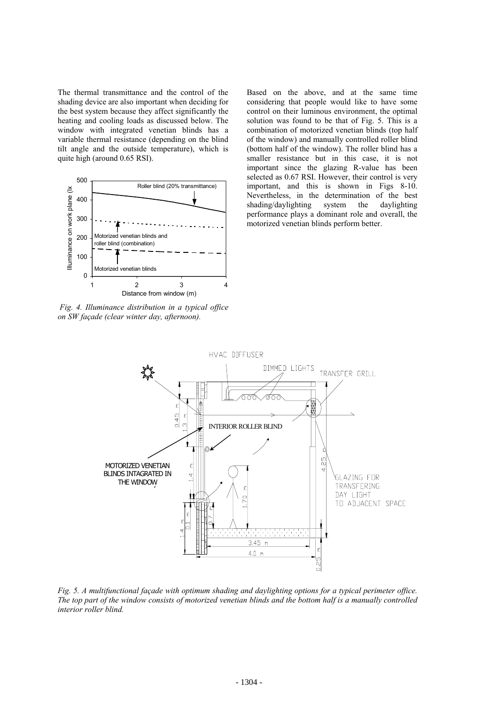The thermal transmittance and the control of the shading device are also important when deciding for the best system because they affect significantly the heating and cooling loads as discussed below. The window with integrated venetian blinds has a variable thermal resistance (depending on the blind tilt angle and the outside temperature), which is quite high (around 0.65 RSI).



 *Fig. 4. Illuminance distribution in a typical office on SW façade (clear winter day, afternoon).* 

Based on the above, and at the same time considering that people would like to have some control on their luminous environment, the optimal solution was found to be that of Fig. 5. This is a combination of motorized venetian blinds (top half of the window) and manually controlled roller blind (bottom half of the window). The roller blind has a smaller resistance but in this case, it is not important since the glazing R-value has been selected as 0.67 RSI. However, their control is very important, and this is shown in Figs 8-10. Nevertheless, in the determination of the best shading/daylighting system the daylighting performance plays a dominant role and overall, the motorized venetian blinds perform better.



*Fig. 5. A multifunctional façade with optimum shading and daylighting options for a typical perimeter office. The top part of the window consists of motorized venetian blinds and the bottom half is a manually controlled interior roller blind.*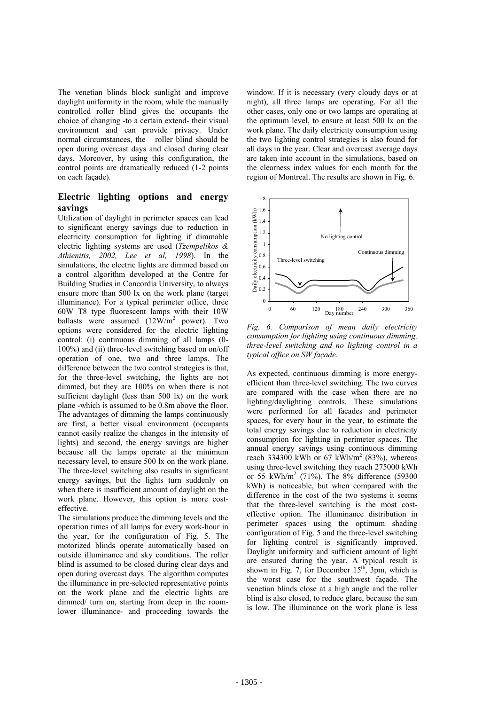The venetian blinds block sunlight and improve daylight uniformity in the room, while the manually controlled roller blind gives the occupants the choice of changing -to a certain extend- their visual environment and can provide privacy. Under normal circumstances, the roller blind should be open during overcast days and closed during clear days. Moreover, by using this configuration, the control points are dramatically reduced (1-2 points on each façade).

## **Electric lighting options and energy savings**

Utilization of daylight in perimeter spaces can lead to significant energy savings due to reduction in electricity consumption for lighting if dimmable electric lighting systems are used (*Tzempelikos & Athienitis, 2002, Lee et al, 1998*). In the simulations, the electric lights are dimmed based on a control algorithm developed at the Centre for Building Studies in Concordia University, to always ensure more than 500 lx on the work plane (target illuminance). For a typical perimeter office, three 60W T8 type fluorescent lamps with their 10W ballasts were assumed  $(12W/m^2)$  power). Two options were considered for the electric lighting control: (i) continuous dimming of all lamps (0- 100%) and (ii) three-level switching based on on/off operation of one, two and three lamps. The difference between the two control strategies is that, for the three-level switching, the lights are not dimmed, but they are 100% on when there is not sufficient daylight (less than 500 lx) on the work plane -which is assumed to be 0.8m above the floor. The advantages of dimming the lamps continuously are first, a better visual environment (occupants cannot easily realize the changes in the intensity of lights) and second, the energy savings are higher because all the lamps operate at the minimum necessary level, to ensure 500 lx on the work plane. The three-level switching also results in significant energy savings, but the lights turn suddenly on when there is insufficient amount of daylight on the work plane. However, this option is more costeffective.

The simulations produce the dimming levels and the operation times of all lamps for every work-hour in the year, for the configuration of Fig. 5. The motorized blinds operate automatically based on outside illuminance and sky conditions. The roller blind is assumed to be closed during clear days and open during overcast days. The algorithm computes the illuminance in pre-selected representative points on the work plane and the electric lights are dimmed/ turn on, starting from deep in the roomlower illuminance- and proceeding towards the window. If it is necessary (very cloudy days or at night), all three lamps are operating. For all the other cases, only one or two lamps are operating at the optimum level, to ensure at least 500 lx on the work plane. The daily electricity consumption using the two lighting control strategies is also found for all days in the year. Clear and overcast average days are taken into account in the simulations, based on the clearness index values for each month for the region of Montreal. The results are shown in Fig. 6.



*Fig. 6. Comparison of mean daily electricity consumption for lighting using continuous dimming, three-level switching and no lighting control in a typical office on SW façade.* 

As expected, continuous dimming is more energyefficient than three-level switching. The two curves are compared with the case when there are no lighting/daylighting controls. These simulations were performed for all facades and perimeter spaces, for every hour in the year, to estimate the total energy savings due to reduction in electricity consumption for lighting in perimeter spaces. The annual energy savings using continuous dimming reach 334300 kWh or 67 kWh/m<sup>2</sup> (83%), whereas using three-level switching they reach 275000 kWh or 55 kWh/m2 (71%). The 8% difference (59300 kWh) is noticeable, but when compared with the difference in the cost of the two systems it seems that the three-level switching is the most costeffective option. The illuminance distribution in perimeter spaces using the optimum shading configuration of Fig. 5 and the three-level switching for lighting control is significantly improved. Daylight uniformity and sufficient amount of light are ensured during the year. A typical result is shown in Fig. 7, for December  $15<sup>th</sup>$ , 3pm, which is the worst case for the southwest façade. The venetian blinds close at a high angle and the roller blind is also closed, to reduce glare, because the sun is low. The illuminance on the work plane is less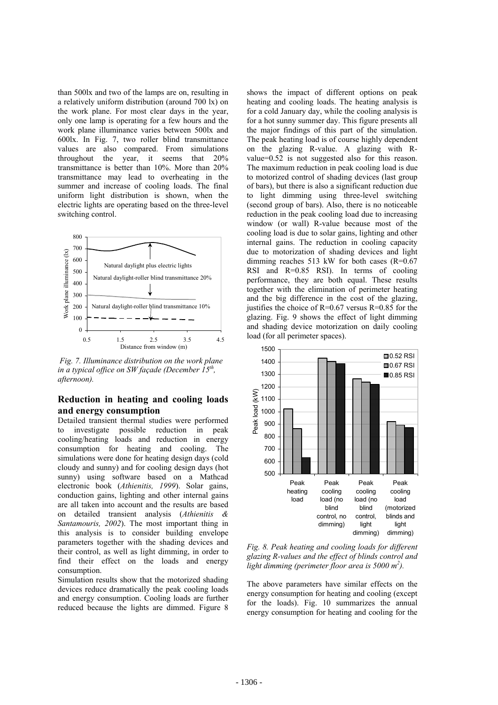than 500lx and two of the lamps are on, resulting in a relatively uniform distribution (around 700 lx) on the work plane. For most clear days in the year, only one lamp is operating for a few hours and the work plane illuminance varies between 500lx and 600lx. In Fig. 7, two roller blind transmittance values are also compared. From simulations throughout the year, it seems that 20% transmittance is better than 10%. More than 20% transmittance may lead to overheating in the summer and increase of cooling loads. The final uniform light distribution is shown, when the electric lights are operating based on the three-level switching control.



*Fig. 7. Illuminance distribution on the work plane in a typical office on SW façade (December 15th, afternoon).* 

## **Reduction in heating and cooling loads and energy consumption**

Detailed transient thermal studies were performed to investigate possible reduction in peak cooling/heating loads and reduction in energy consumption for heating and cooling. The simulations were done for heating design days (cold cloudy and sunny) and for cooling design days (hot sunny) using software based on a Mathcad electronic book (*Athienitis, 1999*). Solar gains, conduction gains, lighting and other internal gains are all taken into account and the results are based on detailed transient analysis (*Athienitis & Santamouris, 2002*). The most important thing in this analysis is to consider building envelope parameters together with the shading devices and their control, as well as light dimming, in order to find their effect on the loads and energy consumption.

Simulation results show that the motorized shading devices reduce dramatically the peak cooling loads and energy consumption. Cooling loads are further reduced because the lights are dimmed. Figure 8

shows the impact of different options on peak heating and cooling loads. The heating analysis is for a cold January day, while the cooling analysis is for a hot sunny summer day. This figure presents all the major findings of this part of the simulation. The peak heating load is of course highly dependent on the glazing R-value. A glazing with Rvalue=0.52 is not suggested also for this reason. The maximum reduction in peak cooling load is due to motorized control of shading devices (last group of bars), but there is also a significant reduction due to light dimming using three-level switching (second group of bars). Also, there is no noticeable reduction in the peak cooling load due to increasing window (or wall) R-value because most of the cooling load is due to solar gains, lighting and other internal gains. The reduction in cooling capacity due to motorization of shading devices and light dimming reaches 513 kW for both cases  $(R=0.67)$ RSI and R=0.85 RSI). In terms of cooling performance, they are both equal. These results together with the elimination of perimeter heating and the big difference in the cost of the glazing, justifies the choice of  $R=0.67$  versus  $R=0.85$  for the glazing. Fig. 9 shows the effect of light dimming and shading device motorization on daily cooling load (for all perimeter spaces).



*Fig. 8. Peak heating and cooling loads for different glazing R-values and the effect of blinds control and light dimming (perimeter floor area is 5000 m<sup>2</sup> ).* 

The above parameters have similar effects on the energy consumption for heating and cooling (except for the loads). Fig. 10 summarizes the annual energy consumption for heating and cooling for the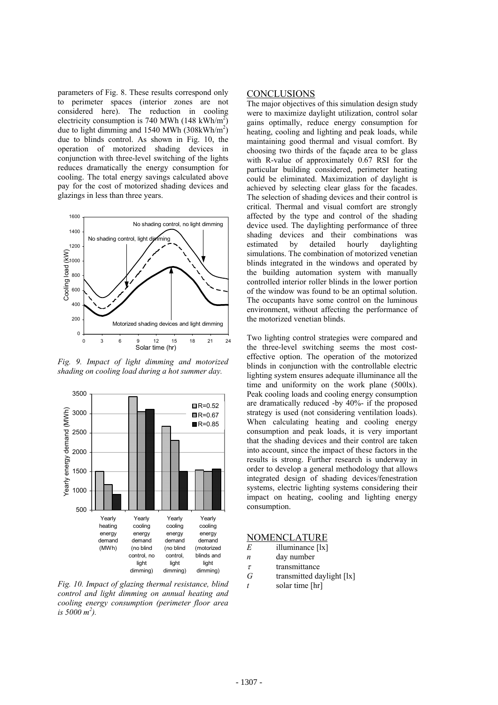parameters of Fig. 8. These results correspond only to perimeter spaces (interior zones are not considered here). The reduction in cooling electricity consumption is 740 MWh (148 kWh/m<sup>2</sup>) due to light dimming and 1540 MWh  $(308 \text{kWh/m}^2)$ due to blinds control. As shown in Fig. 10, the operation of motorized shading devices in conjunction with three-level switching of the lights reduces dramatically the energy consumption for cooling. The total energy savings calculated above pay for the cost of motorized shading devices and glazings in less than three years.



*Fig. 9. Impact of light dimming and motorized shading on cooling load during a hot summer day.* 



*Fig. 10. Impact of glazing thermal resistance, blind control and light dimming on annual heating and cooling energy consumption (perimeter floor area is 5000 m<sup>2</sup> ).* 

### **CONCLUSIONS**

The major objectives of this simulation design study were to maximize daylight utilization, control solar gains optimally, reduce energy consumption for heating, cooling and lighting and peak loads, while maintaining good thermal and visual comfort. By choosing two thirds of the façade area to be glass with R-value of approximately 0.67 RSI for the particular building considered, perimeter heating could be eliminated. Maximization of daylight is achieved by selecting clear glass for the facades. The selection of shading devices and their control is critical. Thermal and visual comfort are strongly affected by the type and control of the shading device used. The daylighting performance of three shading devices and their combinations was estimated by detailed hourly daylighting simulations. The combination of motorized venetian blinds integrated in the windows and operated by the building automation system with manually controlled interior roller blinds in the lower portion of the window was found to be an optimal solution. The occupants have some control on the luminous environment, without affecting the performance of the motorized venetian blinds.

Two lighting control strategies were compared and the three-level switching seems the most costeffective option. The operation of the motorized blinds in conjunction with the controllable electric lighting system ensures adequate illuminance all the time and uniformity on the work plane (500lx). Peak cooling loads and cooling energy consumption are dramatically reduced -by 40%- if the proposed strategy is used (not considering ventilation loads). When calculating heating and cooling energy consumption and peak loads, it is very important that the shading devices and their control are taken into account, since the impact of these factors in the results is strong. Further research is underway in order to develop a general methodology that allows integrated design of shading devices/fenestration systems, electric lighting systems considering their impact on heating, cooling and lighting energy consumption.

### NOMENCLATURE

- *E* illuminance [lx]
- *n* day number
- $\tau$  transmittance
- *G* transmitted daylight [lx] *t* solar time [hr]